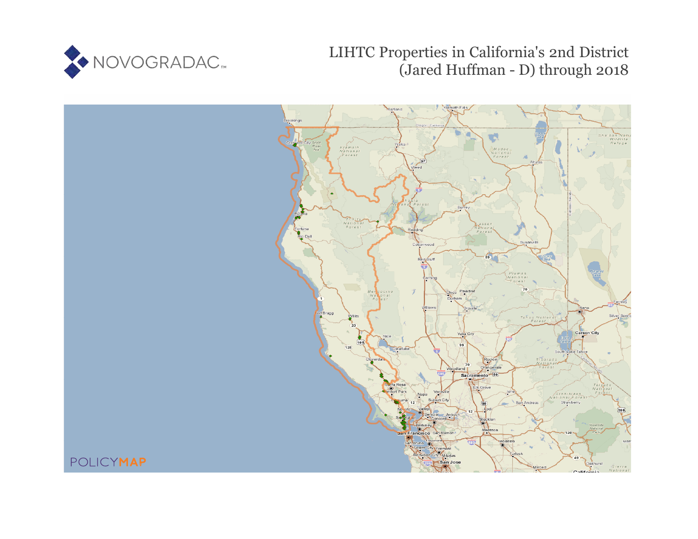

LIHTC Properties in California's 2nd District (Jared Huffman - D) through 2018

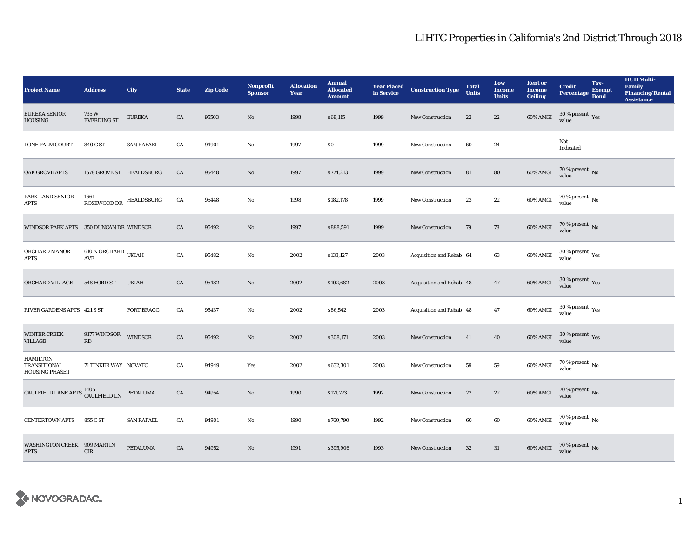| <b>Project Name</b>                                       | <b>Address</b>                                    | City              | <b>State</b> | <b>Zip Code</b> | <b>Nonprofit</b><br><b>Sponsor</b> | <b>Allocation</b><br>Year | <b>Annual</b><br><b>Allocated</b><br><b>Amount</b> |      | <b>Year Placed Construction Type</b><br>in Service | <b>Total</b><br><b>Units</b> | Low<br><b>Income</b><br><b>Units</b> | <b>Rent or</b><br><b>Income</b><br><b>Ceiling</b> | <b>Credit</b><br><b>Percentage</b>       | Tax-<br><b>Exempt</b><br><b>Bond</b> | <b>HUD Multi-</b><br>Family<br><b>Financing/Rental</b><br><b>Assistance</b> |
|-----------------------------------------------------------|---------------------------------------------------|-------------------|--------------|-----------------|------------------------------------|---------------------------|----------------------------------------------------|------|----------------------------------------------------|------------------------------|--------------------------------------|---------------------------------------------------|------------------------------------------|--------------------------------------|-----------------------------------------------------------------------------|
| <b>EUREKA SENIOR</b><br><b>HOUSING</b>                    | 735 W<br><b>EVERDING ST</b>                       | <b>EUREKA</b>     | CA           | 95503           | $\mathbf{No}$                      | 1998                      | \$68,115                                           | 1999 | New Construction                                   | 22                           | $22\,$                               | 60% AMGI                                          | 30 % present $\gamma_{\rm e s}$<br>value |                                      |                                                                             |
| <b>LONE PALM COURT</b>                                    | 840 C ST                                          | <b>SAN RAFAEL</b> | CA           | 94901           | No                                 | 1997                      | \$0                                                | 1999 | <b>New Construction</b>                            | 60                           | 24                                   |                                                   | Not<br>Indicated                         |                                      |                                                                             |
| <b>OAK GROVE APTS</b>                                     | 1578 GROVE ST HEALDSBURG                          |                   | CA           | 95448           | $\mathbf{No}$                      | 1997                      | \$774,213                                          | 1999 | <b>New Construction</b>                            | 81                           | 80                                   | 60% AMGI                                          | $70$ % present $\,$ No value             |                                      |                                                                             |
| PARK LAND SENIOR<br><b>APTS</b>                           | $\operatorname{\mathsf{ROSEWOOD\,DR}}$ HEALDSBURG |                   | CA           | 95448           | No                                 | 1998                      | \$182,178                                          | 1999 | New Construction                                   | 23                           | $\bf{22}$                            | 60% AMGI                                          | 70 % present $\,$ No $\,$<br>value       |                                      |                                                                             |
| WINDSOR PARK APTS 350 DUNCAN DR WINDSOR                   |                                                   |                   | CA           | 95492           | $\mathbf{N}\mathbf{o}$             | 1997                      | \$898,591                                          | 1999 | New Construction                                   | 79                           | 78                                   | 60% AMGI                                          | $70$ % present $_{\rm{No}}$              |                                      |                                                                             |
| ORCHARD MANOR<br><b>APTS</b>                              | $610$ N ORCHARD UKIAH<br>AVE                      |                   | CA           | 95482           | No                                 | 2002                      | \$133,127                                          | 2003 | Acquisition and Rehab 64                           |                              | 63                                   | 60% AMGI                                          | $30\,\%$ present $\,\mathrm{Yes}$ value  |                                      |                                                                             |
| ORCHARD VILLAGE                                           | 548 FORD ST                                       | <b>UKIAH</b>      | CA           | 95482           | $\mathbf{N}\mathbf{o}$             | 2002                      | \$102,682                                          | 2003 | Acquisition and Rehab 48                           |                              | 47                                   | 60% AMGI                                          | $30\,\%$ present $\,$ Yes value          |                                      |                                                                             |
| RIVER GARDENS APTS 421 S ST                               |                                                   | <b>FORT BRAGG</b> | CA           | 95437           | No                                 | 2002                      | \$86,542                                           | 2003 | Acquisition and Rehab 48                           |                              | 47                                   | $60\%$ AMGI                                       | $30\,\%$ present $\,$ Yes value          |                                      |                                                                             |
| <b>WINTER CREEK</b><br>VILLAGE                            | 9177 WINDSOR<br>RD                                | <b>WINDSOR</b>    | CA           | 95492           | $\rm No$                           | 2002                      | \$308,171                                          | 2003 | New Construction                                   | 41                           | 40                                   | 60% AMGI                                          | $30\,\%$ present $\,$ Yes value          |                                      |                                                                             |
| <b>HAMILTON</b><br>TRANSITIONAL<br><b>HOUSING PHASE I</b> | 71 TINKER WAY NOVATO                              |                   | CA           | 94949           | Yes                                | 2002                      | \$632,301                                          | 2003 | New Construction                                   | 59                           | 59                                   | $60\%$ AMGI                                       | $70$ % present $\,$ No value             |                                      |                                                                             |
| CAULFIELD LANE APTS <sup>1405</sup> CAULFIELD LN          |                                                   | <b>PETALUMA</b>   | CA           | 94954           | $\mathbf{N}\mathbf{o}$             | 1990                      | \$171,773                                          | 1992 | New Construction                                   | 22                           | $22\,$                               | 60% AMGI                                          | $70$ % present $\,$ No $\,$ value        |                                      |                                                                             |
| <b>CENTERTOWN APTS</b>                                    | 855 C ST                                          | <b>SAN RAFAEL</b> | CA           | 94901           | $\mathbf{N}\mathbf{o}$             | 1990                      | \$760,790                                          | 1992 | New Construction                                   | 60                           | $60\,$                               | 60% AMGI                                          | $70\,\%$ present $\,$ No value           |                                      |                                                                             |
| WASHINGTON CREEK 909 MARTIN<br><b>APTS</b>                | <b>CIR</b>                                        | PETALUMA          | CA           | 94952           | $\mathbf{N}\mathbf{o}$             | 1991                      | \$395,906                                          | 1993 | <b>New Construction</b>                            | 32                           | 31                                   | 60% AMGI                                          | $70\,\%$ present $\,$ No value           |                                      |                                                                             |

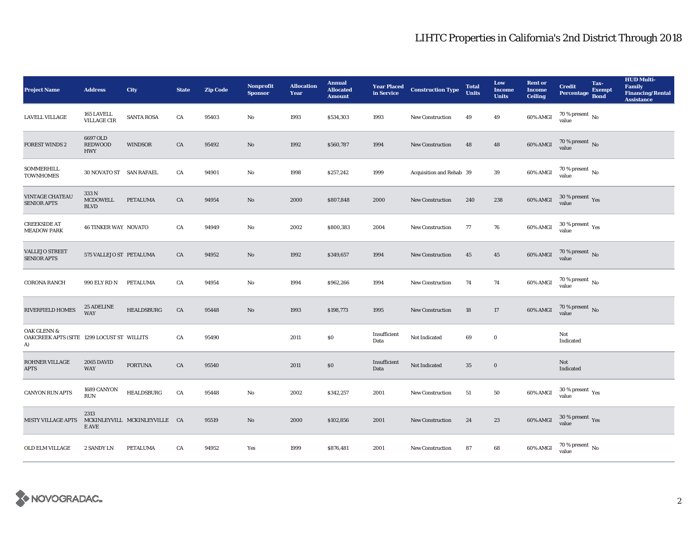| <b>Project Name</b>                                                        | <b>Address</b>                           | City                          | <b>State</b> | <b>Zip Code</b> | <b>Nonprofit</b><br><b>Sponsor</b> | <b>Allocation</b><br>Year | <b>Annual</b><br><b>Allocated</b><br><b>Amount</b> | <b>Year Placed<br/>in Service</b> | <b>Construction Type</b> | <b>Total</b><br><b>Units</b> | Low<br><b>Income</b><br><b>Units</b> | <b>Rent or</b><br><b>Income</b><br><b>Ceiling</b> | <b>Credit</b><br><b>Percentage</b>       | Tax-<br><b>Exempt</b><br><b>Bond</b> | <b>HUD Multi-</b><br>Family<br><b>Financing/Rental</b><br><b>Assistance</b> |
|----------------------------------------------------------------------------|------------------------------------------|-------------------------------|--------------|-----------------|------------------------------------|---------------------------|----------------------------------------------------|-----------------------------------|--------------------------|------------------------------|--------------------------------------|---------------------------------------------------|------------------------------------------|--------------------------------------|-----------------------------------------------------------------------------|
| LAVELL VILLAGE                                                             | 165 LAVELL<br><b>VILLAGE CIR</b>         | <b>SANTA ROSA</b>             | CA           | 95403           | No                                 | 1993                      | \$534,303                                          | 1993                              | New Construction         | 49                           | 49                                   | 60% AMGI                                          | 70 % present $\,$ No $\,$<br>value       |                                      |                                                                             |
| <b>FOREST WINDS 2</b>                                                      | 6697 OLD<br><b>REDWOOD</b><br><b>HWY</b> | <b>WINDSOR</b>                | ${\rm CA}$   | 95492           | $\rm No$                           | 1992                      | \$560,787                                          | 1994                              | <b>New Construction</b>  | 48                           | 48                                   | $60\%$ AMGI                                       | $70$ % present $\,$ No value             |                                      |                                                                             |
| <b>SOMMERHILL</b><br><b>TOWNHOMES</b>                                      | 30 NOVATO ST SAN RAFAEL                  |                               | CA           | 94901           | No                                 | 1998                      | \$257,242                                          | 1999                              | Acquisition and Rehab 39 |                              | 39                                   | 60% AMGI                                          | $70$ % present $\,$ No value             |                                      |                                                                             |
| <b>VINTAGE CHATEAU</b><br><b>SENIOR APTS</b>                               | 333 N<br><b>MCDOWELL</b><br><b>BLVD</b>  | <b>PETALUMA</b>               | ${\rm CA}$   | 94954           | $\rm No$                           | 2000                      | \$807,848                                          | 2000                              | <b>New Construction</b>  | 240                          | 238                                  | $60\%$ AMGI                                       | $30\,\%$ present $\,$ Yes value          |                                      |                                                                             |
| <b>CREEKSIDE AT</b><br><b>MEADOW PARK</b>                                  | <b>46 TINKER WAY NOVATO</b>              |                               | CA           | 94949           | No                                 | 2002                      | \$800,383                                          | 2004                              | New Construction         | 77                           | 76                                   | 60% AMGI                                          | $30\,\%$ present $\,$ $\rm Yes$<br>value |                                      |                                                                             |
| <b>VALLEJO STREET</b><br><b>SENIOR APTS</b>                                | 575 VALLEJO ST PETALUMA                  |                               | CA           | 94952           | No                                 | 1992                      | \$349,657                                          | 1994                              | <b>New Construction</b>  | 45                           | 45                                   | 60% AMGI                                          | $70$ % present $\,$ No value             |                                      |                                                                             |
| <b>CORONA RANCH</b>                                                        | 990 ELY RD N                             | PETALUMA                      | CA           | 94954           | No                                 | 1994                      | \$962,266                                          | 1994                              | <b>New Construction</b>  | 74                           | 74                                   | 60% AMGI                                          | $70$ % present $\,$ No value             |                                      |                                                                             |
| RIVERFIELD HOMES                                                           | <b>25 ADELINE</b><br><b>WAY</b>          | <b>HEALDSBURG</b>             | CA           | 95448           | No                                 | 1993                      | \$198,773                                          | 1995                              | New Construction         | 18                           | $17\,$                               | 60% AMGI                                          | $70$ % present $\,$ No value             |                                      |                                                                             |
| <b>OAK GLENN &amp;</b><br>OAKCREEK APTS (SITE 1299 LOCUST ST WILLITS<br>A) |                                          |                               | CA           | 95490           |                                    | 2011                      | $\bf{S0}$                                          | Insufficient<br>Data              | Not Indicated            | 69                           | $\bf{0}$                             |                                                   | Not<br>Indicated                         |                                      |                                                                             |
| ROHNER VILLAGE<br><b>APTS</b>                                              | 2065 DAVID<br><b>WAY</b>                 | <b>FORTUNA</b>                | CA           | 95540           |                                    | 2011                      | \$0                                                | Insufficient<br>Data              | Not Indicated            | 35                           | $\mathbf 0$                          |                                                   | Not<br>Indicated                         |                                      |                                                                             |
| <b>CANYON RUN APTS</b>                                                     | 1689 CANYON<br>$\rm RUN$                 | <b>HEALDSBURG</b>             | CA           | 95448           | $\mathbf{No}$                      | 2002                      | \$342,257                                          | 2001                              | <b>New Construction</b>  | $51\,$                       | ${\bf 50}$                           | 60% AMGI                                          | $30\,\%$ present $\,$ Yes value          |                                      |                                                                             |
| <b>MISTY VILLAGE APTS</b>                                                  | 2313<br>E AVE                            | MCKINLEYVILL MCKINLEYVILLE CA |              | 95519           | No                                 | 2000                      | \$102,856                                          | 2001                              | New Construction         | 24                           | 23                                   | 60% AMGI                                          | $30\,\%$ present $\,$ Yes value          |                                      |                                                                             |
| <b>OLD ELM VILLAGE</b>                                                     | 2 SANDY LN                               | <b>PETALUMA</b>               | CA           | 94952           | Yes                                | 1999                      | \$876,481                                          | 2001                              | <b>New Construction</b>  | 87                           | 68                                   | 60% AMGI                                          | $70\,\%$ present $\,$ No value           |                                      |                                                                             |

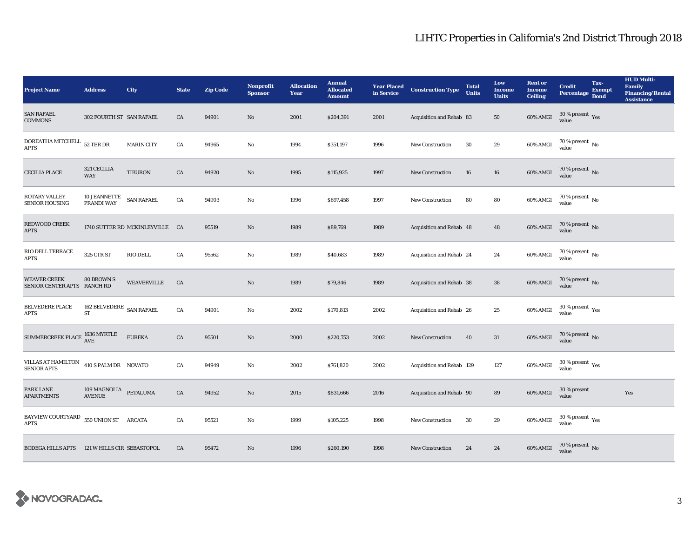| <b>Project Name</b>                                                                                    | <b>Address</b>                             | City                            | <b>State</b> | <b>Zip Code</b> | <b>Nonprofit</b><br><b>Sponsor</b> | <b>Allocation</b><br>Year | <b>Annual</b><br><b>Allocated</b><br><b>Amount</b> |      | <b>Year Placed Construction Type</b><br>in Service <b>Construction</b> Type | <b>Total</b><br><b>Units</b> | Low<br><b>Income</b><br><b>Units</b> | <b>Rent or</b><br><b>Income</b><br><b>Ceiling</b> | <b>Credit</b><br><b>Percentage</b>              | Tax-<br><b>Exempt</b><br><b>Bond</b> | <b>HUD Multi-</b><br>Family<br><b>Financing/Rental</b><br><b>Assistance</b> |
|--------------------------------------------------------------------------------------------------------|--------------------------------------------|---------------------------------|--------------|-----------------|------------------------------------|---------------------------|----------------------------------------------------|------|-----------------------------------------------------------------------------|------------------------------|--------------------------------------|---------------------------------------------------|-------------------------------------------------|--------------------------------------|-----------------------------------------------------------------------------|
| <b>SAN RAFAEL</b><br><b>COMMONS</b>                                                                    | 302 FOURTH ST SAN RAFAEL                   |                                 | CA           | 94901           | No                                 | 2001                      | \$204,391                                          | 2001 | Acquisition and Rehab 83                                                    |                              | 50                                   | 60% AMGI                                          | 30 % present $\,$ $\rm Yes$<br>value            |                                      |                                                                             |
| DOREATHA MITCHELL 52 TER DR<br><b>APTS</b>                                                             |                                            | <b>MARIN CITY</b>               | CA           | 94965           | $\mathbf{No}$                      | 1994                      | \$351,197                                          | 1996 | <b>New Construction</b>                                                     | 30                           | $\bf 29$                             | 60% AMGI                                          | $70$ % present $\,$ No value                    |                                      |                                                                             |
| <b>CECILIA PLACE</b>                                                                                   | 321 CECILIA<br><b>WAY</b>                  | <b>TIBURON</b>                  | CA           | 94920           | $\mathbf{N}\mathbf{o}$             | 1995                      | \$115,925                                          | 1997 | New Construction                                                            | 16                           | ${\bf 16}$                           | 60% AMGI                                          | $70$ % present $\,$ No value                    |                                      |                                                                             |
| <b>ROTARY VALLEY</b><br><b>SENIOR HOUSING</b>                                                          | <b>10 JEANNETTE</b><br>PRANDI WAY          | <b>SAN RAFAEL</b>               | CA           | 94903           | No                                 | 1996                      | \$697,458                                          | 1997 | <b>New Construction</b>                                                     | 80                           | ${\bf 80}$                           | 60% AMGI                                          | 70 % present $\,$ No $\,$<br>value <sup>-</sup> |                                      |                                                                             |
| REDWOOD CREEK<br><b>APTS</b>                                                                           |                                            | 1740 SUTTER RD MCKINLEYVILLE CA |              | 95519           | No                                 | 1989                      | \$89,769                                           | 1989 | Acquisition and Rehab 48                                                    |                              | 48                                   | 60% AMGI                                          | $70$ % present $\,$ No value                    |                                      |                                                                             |
| RIO DELL TERRACE<br><b>APTS</b>                                                                        | 325 CTR ST                                 | RIO DELL                        | ${\rm CA}$   | 95562           | $_{\rm No}$                        | 1989                      | \$40,683                                           | 1989 | Acquisition and Rehab 24                                                    |                              | 24                                   | 60% AMGI                                          | $70$ % present $\,$ No value                    |                                      |                                                                             |
| <b>WEAVER CREEK</b><br>SENIOR CENTER APTS RANCH RD                                                     | 80 BROWN S                                 | <b>WEAVERVILLE</b>              | CA           |                 | No                                 | 1989                      | \$79,846                                           | 1989 | Acquisition and Rehab 38                                                    |                              | 38                                   | 60% AMGI                                          | $70$ % present $\,$ No value                    |                                      |                                                                             |
| <b>BELVEDERE PLACE</b><br><b>APTS</b>                                                                  | 162 BELVEDERE $\,$ SAN RAFAEL<br>ST        |                                 | ${\rm CA}$   | 94901           | $\mathbf{No}$                      | 2002                      | \$170,813                                          | 2002 | Acquisition and Rehab 26                                                    |                              | $\bf 25$                             | 60% AMGI                                          | $30\,\%$ present $\,\mathrm{Yes}$ value         |                                      |                                                                             |
| $\begin{array}{lll} \text{SUMMERCREEK PLACE} & \text{1636} \text{ MYRTLE} \\ \text{AVE} & \end{array}$ |                                            | <b>EUREKA</b>                   | CA           | 95501           | No                                 | 2000                      | \$220,753                                          | 2002 | <b>New Construction</b>                                                     | 40                           | 31                                   | 60% AMGI                                          | $70$ % present $_{\rm{No}}$                     |                                      |                                                                             |
| VILLAS AT HAMILTON<br><b>SENIOR APTS</b>                                                               | 410 S PALM DR NOVATO                       |                                 | ${\rm CA}$   | 94949           | No                                 | 2002                      | \$761,820                                          | 2002 | Acquisition and Rehab 129                                                   |                              | 127                                  | 60% AMGI                                          | $30\,\%$ present $\,$ $\rm{Yes}$<br>value       |                                      |                                                                             |
| PARK LANE<br><b>APARTMENTS</b>                                                                         | $109\,$ MAGNOLIA PETALUMA<br><b>AVENUE</b> |                                 | CA           | 94952           | No                                 | 2015                      | \$831,666                                          | 2016 | Acquisition and Rehab 90                                                    |                              | 89                                   | 60% AMGI                                          | 30 % present<br>value                           |                                      | Yes                                                                         |
| BAYVIEW COURTYARD<br><b>APTS</b>                                                                       | 550 UNION ST ARCATA                        |                                 | ${\rm CA}$   | 95521           | No                                 | 1999                      | \$105,225                                          | 1998 | <b>New Construction</b>                                                     | 30                           | $\bf 29$                             | 60% AMGI                                          | $30\,\%$ present $\,$ Yes value                 |                                      |                                                                             |
| BODEGA HILLS APTS 121 W HILLS CIR SEBASTOPOL                                                           |                                            |                                 | CA           | 95472           | N <sub>o</sub>                     | 1996                      | \$260,190                                          | 1998 | <b>New Construction</b>                                                     | 24                           | 24                                   | 60% AMGI                                          | $70\,\%$ present $\,$ No value                  |                                      |                                                                             |

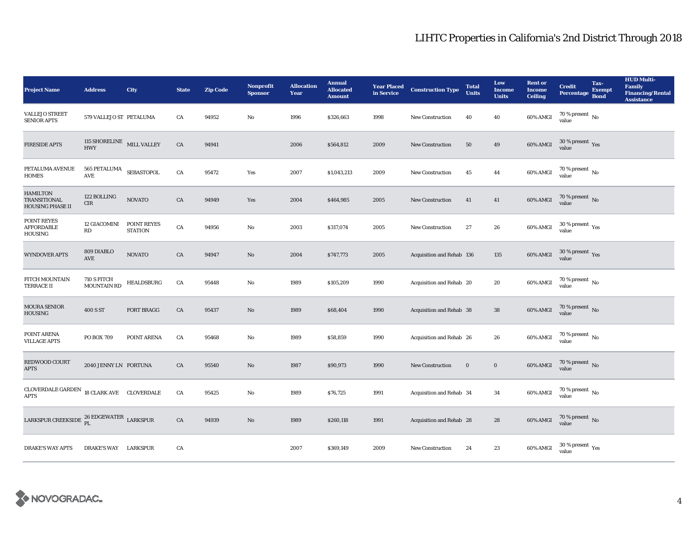| <b>Project Name</b>                                               | <b>Address</b>                         | City                          | <b>State</b> | <b>Zip Code</b> | <b>Nonprofit</b><br><b>Sponsor</b> | <b>Allocation</b><br>Year | <b>Annual</b><br><b>Allocated</b><br><b>Amount</b> |      | <b>Year Placed Construction Type</b><br>in Service | <b>Total</b><br><b>Units</b> | Low<br><b>Income</b><br><b>Units</b> | <b>Rent or</b><br><b>Income</b><br><b>Ceiling</b> | <b>Credit</b><br><b>Percentage</b>            | Tax-<br><b>Exempt</b><br><b>Bond</b> | <b>HUD Multi-</b><br>Family<br><b>Financing/Rental</b><br><b>Assistance</b> |
|-------------------------------------------------------------------|----------------------------------------|-------------------------------|--------------|-----------------|------------------------------------|---------------------------|----------------------------------------------------|------|----------------------------------------------------|------------------------------|--------------------------------------|---------------------------------------------------|-----------------------------------------------|--------------------------------------|-----------------------------------------------------------------------------|
| <b>VALLEJO STREET</b><br><b>SENIOR APTS</b>                       | 579 VALLEJO ST PETALUMA                |                               | CA           | 94952           | $\mathbf{No}$                      | 1996                      | \$326,663                                          | 1998 | <b>New Construction</b>                            | 40                           | 40                                   | 60% AMGI                                          | 70 % present $\hbox{~No}$<br>value            |                                      |                                                                             |
| <b>FIRESIDE APTS</b>                                              | 115 SHORELINE MILL VALLEY HWY          |                               | ${\rm CA}$   | 94941           |                                    | 2006                      | \$564,812                                          | 2009 | <b>New Construction</b>                            | 50                           | $\bf 49$                             | 60% AMGI                                          | $30\ \%$ present $\ \ \gamma_{\rm e s}$ value |                                      |                                                                             |
| PETALUMA AVENUE<br><b>HOMES</b>                                   | 565 PETALUMA $$\sf SEBASTOPOL$$<br>AVE |                               | CA           | 95472           | Yes                                | 2007                      | \$1,043,213                                        | 2009 | <b>New Construction</b>                            | 45                           | 44                                   | 60% AMGI                                          | $70$ % present $\,$ No value                  |                                      |                                                                             |
| <b>HAMILTON</b><br><b>TRANSITIONAL</b><br><b>HOUSING PHASE II</b> | 122 BOLLING<br>CIR                     | <b>NOVATO</b>                 | ${\rm CA}$   | 94949           | Yes                                | 2004                      | \$464,985                                          | 2005 | New Construction                                   | 41                           | 41                                   | 60% AMGI                                          | $70$ % present $\,$ No value                  |                                      |                                                                             |
| POINT REYES<br><b>AFFORDABLE</b><br><b>HOUSING</b>                | <b>12 GIACOMINI</b><br>RD              | POINT REYES<br><b>STATION</b> | CA           | 94956           | $\mathbf{No}$                      | 2003                      | \$317,074                                          | 2005 | New Construction                                   | $27\,$                       | $\bf 26$                             | 60% AMGI                                          | $30\,\%$ present $\,\mathrm{Yes}$ value       |                                      |                                                                             |
| <b>WYNDOVER APTS</b>                                              | 809 DIABLO<br>AVE                      | <b>NOVATO</b>                 | CA           | 94947           | No                                 | 2004                      | \$747,773                                          | 2005 | Acquisition and Rehab 136                          |                              | 135                                  | 60% AMGI                                          | $30\,\%$ present $\,$ Yes value               |                                      |                                                                             |
| FITCH MOUNTAIN<br><b>TERRACE II</b>                               | 710 S FITCH<br>MOUNTAIN RD             | HEALDSBURG                    | CA           | 95448           | No                                 | 1989                      | \$105,209                                          | 1990 | Acquisition and Rehab 20                           |                              | 20                                   | 60% AMGI                                          | 70 % present $\,$ No $\,$<br>value            |                                      |                                                                             |
| <b>MOURA SENIOR</b><br><b>HOUSING</b>                             | 400 S ST                               | <b>FORT BRAGG</b>             | CA           | 95437           | No                                 | 1989                      | \$68,404                                           | 1990 | Acquisition and Rehab 38                           |                              | 38                                   | 60% AMGI                                          | $70$ % present $\,$ No value                  |                                      |                                                                             |
| POINT ARENA<br><b>VILLAGE APTS</b>                                | PO BOX 709                             | POINT ARENA                   | CA           | 95468           | No                                 | 1989                      | \$58,859                                           | 1990 | Acquisition and Rehab 26                           |                              | 26                                   | 60% AMGI                                          | $70\,\%$ present $\,$ No value                |                                      |                                                                             |
| REDWOOD COURT<br><b>APTS</b>                                      | 2040 JENNY LN FORTUNA                  |                               | CA           | 95540           | No                                 | 1987                      | \$90,973                                           | 1990 | <b>New Construction</b>                            | $\bf{0}$                     | $\bf{0}$                             | 60% AMGI                                          | $70\,\%$ present $\,$ No value                |                                      |                                                                             |
| $\sf CLOVERDALE$ $\sf GARDEN$<br><b>APTS</b>                      | 18 CLARK AVE CLOVERDALE                |                               | CA           | 95425           | No                                 | 1989                      | \$76,725                                           | 1991 | Acquisition and Rehab 34                           |                              | 34                                   | 60% AMGI                                          | $70\,\%$ present $\,$ No value                |                                      |                                                                             |
| LARKSPUR CREEKSIDE $_{PL}^{26}$ EDGEWATER LARKSPUR                |                                        |                               | ${\rm CA}$   | 94939           | No                                 | 1989                      | \$260,118                                          | 1991 | Acquisition and Rehab 28                           |                              | 28                                   | $60\%$ AMGI                                       | $70\,\%$ present $\,$ No value                |                                      |                                                                             |
| <b>DRAKE'S WAY APTS</b>                                           | DRAKE'S WAY LARKSPUR                   |                               | CA           |                 |                                    | 2007                      | \$369,149                                          | 2009 | <b>New Construction</b>                            | 24                           | 23                                   | 60% AMGI                                          | $30\,\%$ present $\,\mathrm{Yes}$ value       |                                      |                                                                             |

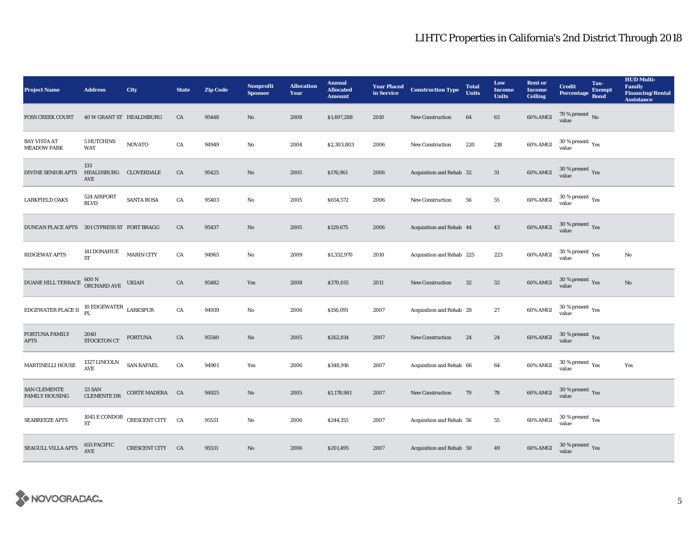| <b>Project Name</b>                          | <b>Address</b>                       | City                           | <b>State</b> | <b>Zip Code</b> | Nonprofit<br><b>Sponsor</b> | <b>Allocation</b><br>Year | <b>Annual</b><br><b>Allocated</b><br><b>Amount</b> |      | <b>Year Placed Construction Type</b><br>in Service | <b>Total</b><br><b>Units</b> | Low<br><b>Income</b><br><b>Units</b> | <b>Rent or</b><br><b>Income</b><br><b>Ceiling</b> | <b>Credit</b><br><b>Percentage</b>      | Tax-<br><b>Exempt</b><br><b>Bond</b> | <b>HUD Multi-</b><br>Family<br><b>Financing/Rental</b><br><b>Assistance</b> |
|----------------------------------------------|--------------------------------------|--------------------------------|--------------|-----------------|-----------------------------|---------------------------|----------------------------------------------------|------|----------------------------------------------------|------------------------------|--------------------------------------|---------------------------------------------------|-----------------------------------------|--------------------------------------|-----------------------------------------------------------------------------|
| <b>FOSS CREEK COURT</b>                      | 40 W GRANT ST HEALDSBURG             |                                | CA           | 95448           | No                          | 2008                      | \$1,497,288                                        | 2010 | <b>New Construction</b>                            | 64                           | 63                                   | 60% AMGI                                          | 70 % present $\hbox{~No}$<br>value      |                                      |                                                                             |
| <b>BAY VISTA AT</b><br><b>MEADOW PARK</b>    | <b>5 HUTCHINS</b><br>WAY             | <b>NOVATO</b>                  | CA           | 94949           | $\rm No$                    | 2004                      | \$2,303,803                                        | 2006 | New Construction                                   | 220                          | 218                                  | 60% AMGI                                          | $30\,\%$ present $\,$ Yes value         |                                      |                                                                             |
| <b>DIVINE SENIOR APTS</b>                    | 133<br>HEALDSBURG CLOVERDALE<br>AVE  |                                | CA           | 95425           | $\mathbf{N}\mathbf{o}$      | 2005                      | \$176,961                                          | 2006 | Acquisition and Rehab 32                           |                              | 31                                   | 60% AMGI                                          | $30\,\%$ present $\,$ Yes value         |                                      |                                                                             |
| <b>LARKFIELD OAKS</b>                        | 524 AIRPORT<br><b>BLVD</b>           | <b>SANTA ROSA</b>              | CA           | 95403           | No                          | 2005                      | \$654,572                                          | 2006 | <b>New Construction</b>                            | 56                           | ${\bf 55}$                           | 60% AMGI                                          | $30\,\%$ present $\,\mathrm{Yes}$ value |                                      |                                                                             |
| DUNCAN PLACE APTS 301 CYPRESS ST FORT BRAGG  |                                      |                                | CA           | 95437           | No                          | 2005                      | \$129,675                                          | 2006 | Acquisition and Rehab 44                           |                              | 43                                   | 60% AMGI                                          | $30\,\%$ present $\,\mathrm{Yes}$ value |                                      |                                                                             |
| RIDGEWAY APTS                                | 141 DONAHUE<br><b>ST</b>             | <b>MARIN CITY</b>              | ${\rm CA}$   | 94965           | $\mathbf{No}$               | 2009                      | \$1,332,970                                        | 2010 | Acquisition and Rehab 225                          |                              | 223                                  | 60% AMGI                                          | $30\,\%$ present $\,\mathrm{Yes}$ value |                                      | $\rm No$                                                                    |
| DUANE HILL TERRACE                           | $600\,\mathrm{N}$ ORCHARD AVE        | <b>UKIAH</b>                   | CA           | 95482           | Yes                         | 2008                      | \$370,015                                          | 2011 | <b>New Construction</b>                            | $32\,$                       | $32\phantom{.0}$                     | 60% AMGI                                          | $30\,\%$ present $\,\mathrm{Yes}$ value |                                      | $\rm No$                                                                    |
| $\operatorname{EDGEWATER}$ PLACE II          | $10$ EDGEWATER $\,$ LARKSPUR $\,$ PL |                                | ${\rm CA}$   | 94939           | $\rm No$                    | 2006                      | \$156,091                                          | 2007 | Acquisition and Rehab 28                           |                              | 27                                   | 60% AMGI                                          | $30\,\%$ present $\,\mathrm{Yes}$ value |                                      |                                                                             |
| FORTUNA FAMILY<br><b>APTS</b>                | 2040<br>STOCKTON CT                  | <b>FORTUNA</b>                 | CA           | 95540           | No                          | 2005                      | \$262,814                                          | 2007 | <b>New Construction</b>                            | 24                           | 24                                   | 60% AMGI                                          | $30\,\%$ present $\,$ Yes value         |                                      |                                                                             |
| MARTINELLI HOUSE                             | 1327 LINCOLN<br>$\operatorname{AVE}$ | <b>SAN RAFAEL</b>              | ${\rm CA}$   | 94901           | Yes                         | 2006                      | \$348,916                                          | 2007 | Acquisition and Rehab 66                           |                              | 64                                   | 60% AMGI                                          | $30$ % present $\,$ $\rm Yes$<br>value  |                                      | Yes                                                                         |
| <b>SAN CLEMENTE</b><br><b>FAMILY HOUSING</b> | 33 SAN<br><b>CLEMENTE DR</b>         | CORTE MADERA CA                |              | 94925           | No                          | 2005                      | \$1,178,981                                        | 2007 | <b>New Construction</b>                            | 79                           | 78                                   | 60% AMGI                                          | $30\,\%$ present $\,$ Yes value         |                                      |                                                                             |
| <b>SEABREEZE APTS</b>                        | ${\rm ST}$                           | 1045 E CONDOR CRESCENT CITY CA |              | 95531           | No                          | 2006                      | \$244,155                                          | 2007 | Acquisition and Rehab 56                           |                              | ${\bf 55}$                           | 60% AMGI                                          | $30$ % present $\,$ Yes value           |                                      |                                                                             |
| <b>SEAGULL VILLA APTS</b>                    | 655 PACIFIC<br><b>AVE</b>            | CRESCENT CITY CA               |              | 95531           | N <sub>o</sub>              | 2006                      | \$201,495                                          | 2007 | Acquisition and Rehab 50                           |                              | 49                                   | 60% AMGI                                          | $30\,\%$ present $\,$ Yes value         |                                      |                                                                             |

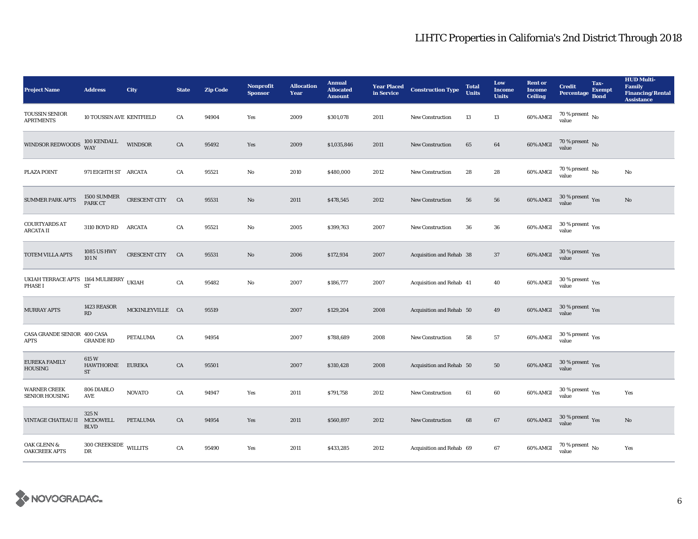| <b>Project Name</b>                                      | <b>Address</b>                     | City             | <b>State</b> | <b>Zip Code</b> | <b>Nonprofit</b><br><b>Sponsor</b> | <b>Allocation</b><br>Year | <b>Annual</b><br><b>Allocated</b><br><b>Amount</b> | <b>Year Placed<br/>in Service</b> | <b>Construction Type</b> | <b>Total</b><br><b>Units</b> | Low<br><b>Income</b><br><b>Units</b> | <b>Rent or</b><br><b>Income</b><br><b>Ceiling</b> | <b>Credit</b><br><b>Percentage</b>                    | Tax-<br><b>Exempt</b><br><b>Bond</b> | <b>HUD Multi-</b><br><b>Family</b><br><b>Financing/Rental</b><br><b>Assistance</b> |
|----------------------------------------------------------|------------------------------------|------------------|--------------|-----------------|------------------------------------|---------------------------|----------------------------------------------------|-----------------------------------|--------------------------|------------------------------|--------------------------------------|---------------------------------------------------|-------------------------------------------------------|--------------------------------------|------------------------------------------------------------------------------------|
| <b>TOUSSIN SENIOR</b><br><b>APRTMENTS</b>                | <b>10 TOUSSIN AVE KENTFIELD</b>    |                  | CA           | 94904           | Yes                                | 2009                      | \$301,078                                          | 2011                              | <b>New Construction</b>  | 13                           | 13                                   | 60% AMGI                                          | 70 % present $\,$ No $\,$<br>value                    |                                      |                                                                                    |
| WINDSOR REDWOODS                                         | 100 KENDALL<br>WAY                 | <b>WINDSOR</b>   | ${\rm CA}$   | 95492           | Yes                                | 2009                      | \$1,035,846                                        | 2011                              | New Construction         | 65                           | $\bf{64}$                            | 60% AMGI                                          | $70$ % present $\,$ No value                          |                                      |                                                                                    |
| PLAZA POINT                                              | 971 EIGHTH ST ARCATA               |                  | CA           | 95521           | No                                 | 2010                      | \$480,000                                          | 2012                              | <b>New Construction</b>  | 28                           | $\bf 28$                             | 60% AMGI                                          | $70$ % present $\,$ No value                          |                                      | No                                                                                 |
| <b>SUMMER PARK APTS</b>                                  | 1500 SUMMER<br>PARK CT             | CRESCENT CITY    | CA           | 95531           | No                                 | 2011                      | \$478,545                                          | 2012                              | New Construction         | 56                           | ${\bf 56}$                           | 60% AMGI                                          | $30\,\%$ present $\,$ $\rm Yes$<br>value              |                                      | $\mathbf{N}\mathbf{o}$                                                             |
| <b>COURTYARDS AT</b><br><b>ARCATA II</b>                 | 3110 BOYD RD ARCATA                |                  | CA           | 95521           | No                                 | 2005                      | \$399,763                                          | 2007                              | <b>New Construction</b>  | 36                           | ${\bf 36}$                           | 60% AMGI                                          | $30\,\%$ present $\,$ Yes value                       |                                      |                                                                                    |
| TOTEM VILLA APTS                                         | 1085 US HWY<br>101 N               | CRESCENT CITY CA |              | 95531           | No                                 | 2006                      | \$172,934                                          | 2007                              | Acquisition and Rehab 38 |                              | 37                                   | 60% AMGI                                          | $30\,\%$ present $\,$ Yes value                       |                                      |                                                                                    |
| UKIAH TERRACE APTS 1164 MULBERRY UKIAH<br><b>PHASE I</b> | ${\rm ST}$                         |                  | CA           | 95482           | No                                 | 2007                      | \$186,777                                          | 2007                              | Acquisition and Rehab 41 |                              | 40                                   | 60% AMGI                                          | $30\,\%$ present $\,$ $\rm Yes$<br>value              |                                      |                                                                                    |
| <b>MURRAY APTS</b>                                       | 1423 REASOR<br>RD                  | MCKINLEYVILLE CA |              | 95519           |                                    | 2007                      | \$129,204                                          | 2008                              | Acquisition and Rehab 50 |                              | 49                                   | 60% AMGI                                          | $30\,\%$ present $\,$ Yes value                       |                                      |                                                                                    |
| CASA GRANDE SENIOR 400 CASA<br><b>APTS</b>               | <b>GRANDE RD</b>                   | <b>PETALUMA</b>  | ${\rm CA}$   | 94954           |                                    | 2007                      | \$788,689                                          | 2008                              | New Construction         | 58                           | 57                                   | 60% AMGI                                          | $30\,\%$ present $\,$ $\rm{Yes}$<br>value             |                                      |                                                                                    |
| EUREKA FAMILY<br><b>HOUSING</b>                          | 615W<br>HAWTHORNE<br>ST            | <b>EUREKA</b>    | CA           | 95501           |                                    | 2007                      | \$310,428                                          | 2008                              | Acquisition and Rehab 50 |                              | ${\bf 50}$                           | <b>60% AMGI</b>                                   | $30\,\%$ present $\,$ Yes value                       |                                      |                                                                                    |
| <b>WARNER CREEK</b><br><b>SENIOR HOUSING</b>             | 806 DIABLO<br>AVE                  | <b>NOVATO</b>    | ${\rm CA}$   | 94947           | Yes                                | 2011                      | \$791,758                                          | 2012                              | New Construction         | 61                           | $60\,$                               | 60% AMGI                                          | 30 % present $\rm\thinspace\gamma_{\rm e s}$<br>value |                                      | Yes                                                                                |
| VINTAGE CHATEAU II                                       | 325 N<br>MCDOWELL<br><b>BLVD</b>   | PETALUMA         | CA           | 94954           | Yes                                | 2011                      | \$560,897                                          | 2012                              | <b>New Construction</b>  | 68                           | 67                                   | $60\%$ AMGI                                       | $30\,\%$ present $\,$ Yes value                       |                                      | $\rm No$                                                                           |
| <b>OAK GLENN &amp;</b><br><b>OAKCREEK APTS</b>           | $300$ CREEKSIDE $\,$ WILLITS<br>DR |                  | CA           | 95490           | Yes                                | 2011                      | \$433,285                                          | 2012                              | Acquisition and Rehab 69 |                              | 67                                   | 60% AMGI                                          | $70\,\%$ present $\,$ No value                        |                                      | Yes                                                                                |

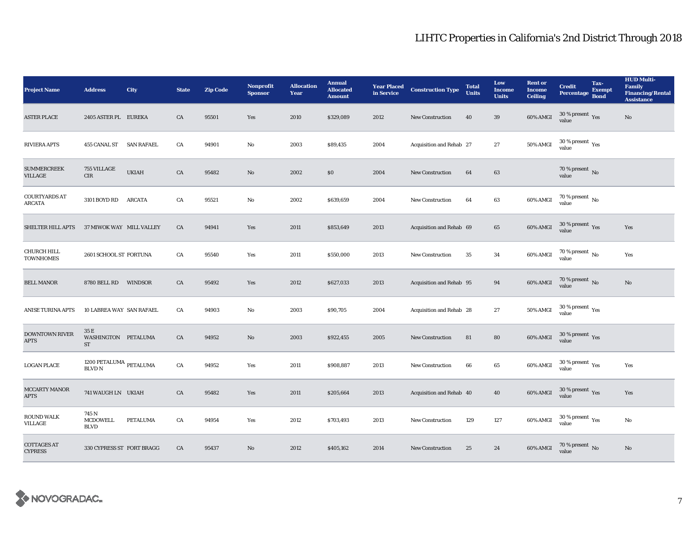| <b>Project Name</b>                    | <b>Address</b>                                   | City            | <b>State</b> | <b>Zip Code</b> | <b>Nonprofit</b><br><b>Sponsor</b> | <b>Allocation</b><br>Year | <b>Annual</b><br><b>Allocated</b><br><b>Amount</b> | <b>Year Placed<br/>in Service</b> | <b>Construction Type</b> | <b>Total</b><br><b>Units</b> | Low<br><b>Income</b><br><b>Units</b> | <b>Rent or</b><br><b>Income</b><br><b>Ceiling</b> | <b>Credit</b><br>Percentage                    | Tax-<br><b>Exempt</b><br><b>Bond</b> | <b>HUD Multi-</b><br>Family<br><b>Financing/Rental</b><br><b>Assistance</b> |
|----------------------------------------|--------------------------------------------------|-----------------|--------------|-----------------|------------------------------------|---------------------------|----------------------------------------------------|-----------------------------------|--------------------------|------------------------------|--------------------------------------|---------------------------------------------------|------------------------------------------------|--------------------------------------|-----------------------------------------------------------------------------|
| <b>ASTER PLACE</b>                     | 2405 ASTER PL EUREKA                             |                 | CA           | 95501           | Yes                                | 2010                      | \$329,089                                          | 2012                              | <b>New Construction</b>  | 40                           | $39\,$                               | 60% AMGI                                          | 30 % present $\sqrt{\gamma_{\rm PS}}$<br>value |                                      | No                                                                          |
| <b>RIVIERA APTS</b>                    | 455 CANAL ST SAN RAFAEL                          |                 | CA           | 94901           | No                                 | 2003                      | \$89,435                                           | 2004                              | Acquisition and Rehab 27 |                              | $\bf 27$                             | 50% AMGI                                          | $30\ \%$ present $\ \ \gamma_{\rm e s}$ value  |                                      |                                                                             |
| <b>SUMMERCREEK</b><br>VILLAGE          | 755 VILLAGE<br>CIR                               | <b>UKIAH</b>    | CA           | 95482           | No                                 | 2002                      | \$0                                                | 2004                              | <b>New Construction</b>  | 64                           | 63                                   |                                                   | $70$ % present $\,$ No $\,$<br>value           |                                      |                                                                             |
| <b>COURTYARDS AT</b><br><b>ARCATA</b>  | 3101 BOYD RD                                     | <b>ARCATA</b>   | CA           | 95521           | $\mathbf{No}$                      | 2002                      | \$639,659                                          | 2004                              | New Construction         | 64                           | 63                                   | 60% AMGI                                          | 70 % present $\,$ No $\,$<br>value             |                                      |                                                                             |
| SHELTER HILL APTS                      | 37 MIWOK WAY MILL VALLEY                         |                 | CA           | 94941           | Yes                                | 2011                      | \$853,649                                          | 2013                              | Acquisition and Rehab 69 |                              | 65                                   | 60% AMGI                                          | $30\,\%$ present $\,$ Yes value                |                                      | Yes                                                                         |
| <b>CHURCH HILL</b><br><b>TOWNHOMES</b> | 2601 SCHOOL ST FORTUNA                           |                 | CA           | 95540           | Yes                                | 2011                      | \$550,000                                          | 2013                              | <b>New Construction</b>  | 35                           | 34                                   | 60% AMGI                                          | $70\,\%$ present $\,$ No value                 |                                      | Yes                                                                         |
| <b>BELL MANOR</b>                      | 8780 BELL RD WINDSOR                             |                 | CA           | 95492           | Yes                                | 2012                      | \$627,033                                          | 2013                              | Acquisition and Rehab 95 |                              | 94                                   | 60% AMGI                                          | $70$ % present $\,$ No value                   |                                      | No                                                                          |
| <b>ANISE TURINA APTS</b>               | 10 LABREA WAY SAN RAFAEL                         |                 | CA           | 94903           | $\mathbf{No}$                      | 2003                      | \$90,705                                           | 2004                              | Acquisition and Rehab 28 |                              | 27                                   | 50% AMGI                                          | $30\,\%$ present $\,$ Yes value                |                                      |                                                                             |
| <b>DOWNTOWN RIVER</b><br><b>APTS</b>   | 35 E<br>WASHINGTON PETALUMA<br><b>ST</b>         |                 | CA           | 94952           | No                                 | 2003                      | \$922,455                                          | 2005                              | <b>New Construction</b>  | 81                           | 80                                   | 60% AMGI                                          | $30\,\%$ present $\,$ Yes value                |                                      |                                                                             |
| <b>LOGAN PLACE</b>                     | 1200 PETALUMA $_{\rm PETALUMA}$<br><b>BLVD N</b> |                 | CA           | 94952           | Yes                                | 2011                      | \$908,887                                          | 2013                              | <b>New Construction</b>  | 66                           | 65                                   | 60% AMGI                                          | $30$ % present $\,$ $\rm Yes$<br>value         |                                      | Yes                                                                         |
| MCCARTY MANOR<br><b>APTS</b>           | 741 WAUGH LN UKIAH                               |                 | CA           | 95482           | Yes                                | 2011                      | \$205,664                                          | 2013                              | Acquisition and Rehab 40 |                              | 40                                   | 60% AMGI                                          | $30\,\%$ present $\,\mathrm{Yes}$ value        |                                      | Yes                                                                         |
| <b>ROUND WALK</b><br><b>VILLAGE</b>    | 745 N<br><b>MCDOWELL</b><br><b>BLVD</b>          | <b>PETALUMA</b> | CA           | 94954           | Yes                                | 2012                      | \$703,493                                          | 2013                              | New Construction         | 129                          | 127                                  | 60% AMGI                                          | $30\,\%$ present $\,$ $\rm Yes$<br>value       |                                      | No                                                                          |
| <b>COTTAGES AT</b><br><b>CYPRESS</b>   | 330 CYPRESS ST FORT BRAGG                        |                 | CA           | 95437           | No                                 | 2012                      | \$405,162                                          | 2014                              | <b>New Construction</b>  | 25                           | 24                                   | 60% AMGI                                          | $70\,\%$ present $\,$ No value                 |                                      | No                                                                          |

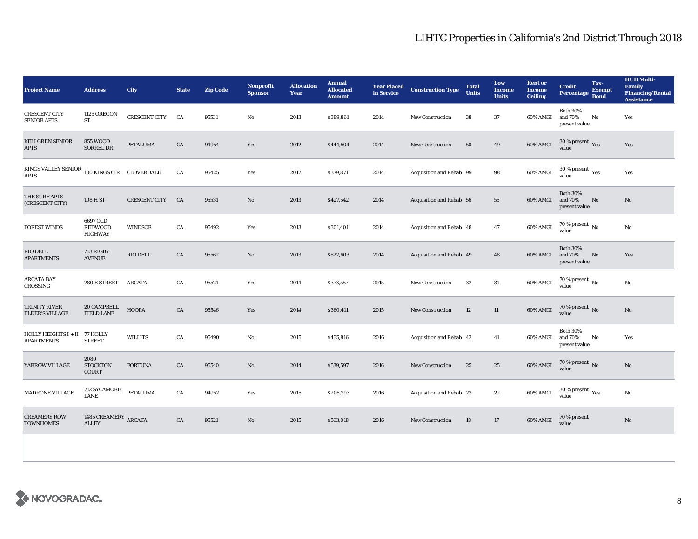| <b>Project Name</b>                                                   | <b>Address</b>                                    | City                 | <b>State</b> | <b>Zip Code</b> | <b>Nonprofit</b><br><b>Sponsor</b> | <b>Allocation</b><br>Year | <b>Annual</b><br><b>Allocated</b><br><b>Amount</b> | <b>Year Placed<br/>in Service</b> | <b>Construction Type</b> | <b>Total</b><br><b>Units</b> | Low<br><b>Income</b><br><b>Units</b> | <b>Rent or</b><br><b>Income</b><br><b>Ceiling</b> | <b>Credit</b><br><b>Percentage</b>          | Tax-<br><b>Exempt</b><br><b>Bond</b> | <b>HUD Multi-</b><br>Family<br><b>Financing/Rental</b><br><b>Assistance</b> |
|-----------------------------------------------------------------------|---------------------------------------------------|----------------------|--------------|-----------------|------------------------------------|---------------------------|----------------------------------------------------|-----------------------------------|--------------------------|------------------------------|--------------------------------------|---------------------------------------------------|---------------------------------------------|--------------------------------------|-----------------------------------------------------------------------------|
| <b>CRESCENT CITY</b><br><b>SENIOR APTS</b>                            | 1125 OREGON<br><b>ST</b>                          | <b>CRESCENT CITY</b> | <b>CA</b>    | 95531           | No                                 | 2013                      | \$389,861                                          | 2014                              | <b>New Construction</b>  | 38                           | 37                                   | 60% AMGI                                          | <b>Both 30%</b><br>and 70%<br>present value | No                                   | Yes                                                                         |
| <b>KELLGREN SENIOR</b><br><b>APTS</b>                                 | <b>855 WOOD</b><br><b>SORREL DR</b>               | <b>PETALUMA</b>      | CA           | 94954           | Yes                                | 2012                      | \$444,504                                          | 2014                              | <b>New Construction</b>  | 50                           | 49                                   | 60% AMGI                                          | $30\,\%$ present $\,$ Yes value             |                                      | Yes                                                                         |
| KINGS VALLEY SENIOR $\,$ 100 KINGS CIR $\,$ CLOVERDALE<br><b>APTS</b> |                                                   |                      | CA           | 95425           | Yes                                | 2012                      | \$379,871                                          | 2014                              | Acquisition and Rehab 99 |                              | 98                                   | 60% AMGI                                          | $30\,\%$ present $\,$ $_{\rm Yes}$<br>value |                                      | Yes                                                                         |
| THE SURF APTS<br>(CRESCENT CITY)                                      | 108 H ST                                          | <b>CRESCENT CITY</b> | CA           | 95531           | No                                 | 2013                      | \$427,542                                          | 2014                              | Acquisition and Rehab 56 |                              | 55                                   | 60% AMGI                                          | <b>Both 30%</b><br>and 70%<br>present value | No                                   | No                                                                          |
| <b>FOREST WINDS</b>                                                   | 6697 OLD<br><b>REDWOOD</b><br><b>HIGHWAY</b>      | WINDSOR              | CA           | 95492           | Yes                                | 2013                      | \$301,401                                          | 2014                              | Acquisition and Rehab 48 |                              | 47                                   | 60% AMGI                                          | $70$ % present $\,$ No value                |                                      | No                                                                          |
| RIO DELL<br><b>APARTMENTS</b>                                         | 753 RIGBY<br><b>AVENUE</b>                        | RIO DELL             | CA           | 95562           | No                                 | 2013                      | \$522,603                                          | 2014                              | Acquisition and Rehab 49 |                              | 48                                   | 60% AMGI                                          | <b>Both 30%</b><br>and 70%<br>present value | No                                   | Yes                                                                         |
| <b>ARCATA BAY</b><br><b>CROSSING</b>                                  | 280 E STREET                                      | <b>ARCATA</b>        | CA           | 95521           | Yes                                | 2014                      | \$373,557                                          | 2015                              | <b>New Construction</b>  | 32                           | 31                                   | 60% AMGI                                          | $70$ % present $\,$ No $\,$<br>value        |                                      | No                                                                          |
| TRINITY RIVER<br><b>ELDER'S VILLAGE</b>                               | 20 CAMPBELL<br><b>FIELD LANE</b>                  | HOOPA                | CA           | 95546           | Yes                                | 2014                      | \$360,411                                          | 2015                              | New Construction         | 12                           | 11                                   | 60% AMGI                                          | $70$ % present $\,$ No value                |                                      | No                                                                          |
| HOLLY HEIGHTS I + II 77 HOLLY<br><b>APARTMENTS</b>                    | <b>STREET</b>                                     | <b>WILLITS</b>       | CA           | 95490           | $\mathbf{No}$                      | 2015                      | \$435,816                                          | 2016                              | Acquisition and Rehab 42 |                              | 41                                   | 60% AMGI                                          | <b>Both 30%</b><br>and 70%<br>present value | No                                   | Yes                                                                         |
| YARROW VILLAGE                                                        | 2080<br><b>STOCKTON</b><br><b>COURT</b>           | <b>FORTUNA</b>       | CA           | 95540           | No                                 | 2014                      | \$539,597                                          | 2016                              | <b>New Construction</b>  | 25                           | 25                                   | 60% AMGI                                          | $70$ % present $\,$ No $\,$<br>value        |                                      | No                                                                          |
| MADRONE VILLAGE                                                       | 712 SYCAMORE<br><b>LANE</b>                       | PETALUMA             | CA           | 94952           | Yes                                | 2015                      | \$206,293                                          | 2016                              | Acquisition and Rehab 23 |                              | $\bf{22}$                            | 60% AMGI                                          | $30\,\%$ present $\,\mathrm{Yes}$ value     |                                      | No                                                                          |
| <b>CREAMERY ROW</b><br><b>TOWNHOMES</b>                               | 1485 CREAMERY $_{\rm \bf ARCATA}$<br><b>ALLEY</b> |                      | CA           | 95521           | No                                 | 2015                      | \$563,018                                          | 2016                              | <b>New Construction</b>  | 18                           | 17                                   | 60% AMGI                                          | 70 % present<br>value                       |                                      | No                                                                          |